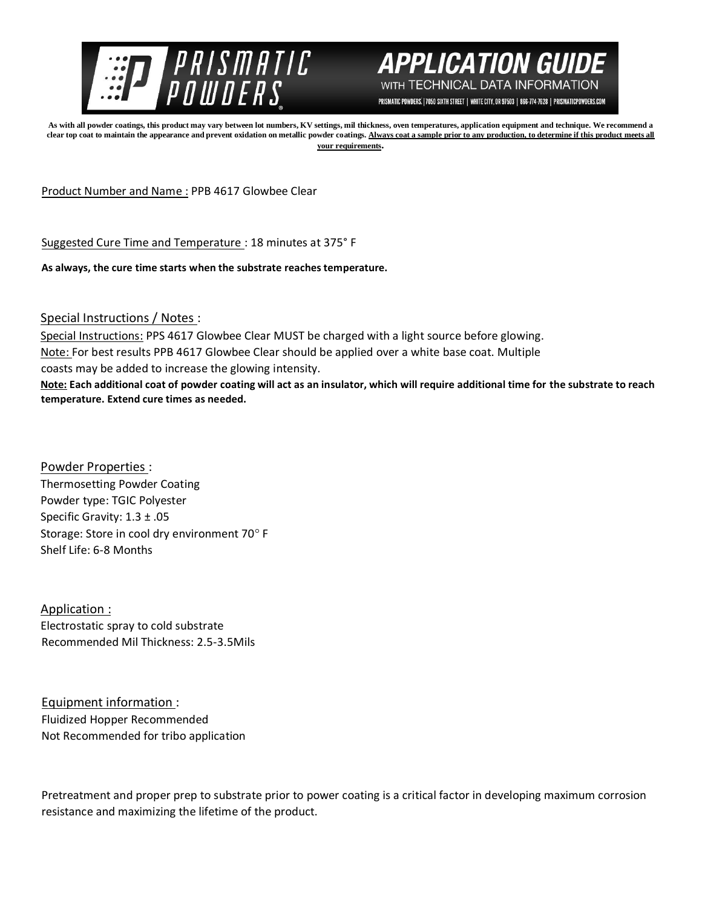



PRISMATIC POWDERS. | 7050 SIXTH STREET | WHITE CITY, OR 97503 | 866-774-7628 | PRISMATICPOWDERS.COM

**As with all powder coatings, this product may vary between lot numbers, KV settings, mil thickness, oven temperatures, application equipment and technique. We recommend a**  clear top coat to maintain the appearance and prevent oxidation on metallic powder coatings. Always coat a sample prior to any production, to determine if this product meets all **your requirements.** 

Product Number and Name : PPB 4617 Glowbee Clear

Suggested Cure Time and Temperature : 18 minutes at 375° F

**As always, the cure time starts when the substrate reaches temperature.**

Special Instructions / Notes :

Special Instructions: PPS 4617 Glowbee Clear MUST be charged with a light source before glowing. Note: For best results PPB 4617 Glowbee Clear should be applied over a white base coat. Multiple coasts may be added to increase the glowing intensity. **Note: Each additional coat of powder coating will act as an insulator, which will require additional time for the substrate to reach temperature. Extend cure times as needed.** 

Powder Properties : Thermosetting Powder Coating Powder type: TGIC Polyester Specific Gravity: 1.3 ± .05 Storage: Store in cool dry environment 70° F Shelf Life: 6-8 Months

Application : Electrostatic spray to cold substrate Recommended Mil Thickness: 2.5-3.5Mils

Equipment information : Fluidized Hopper Recommended Not Recommended for tribo application

Pretreatment and proper prep to substrate prior to power coating is a critical factor in developing maximum corrosion resistance and maximizing the lifetime of the product.